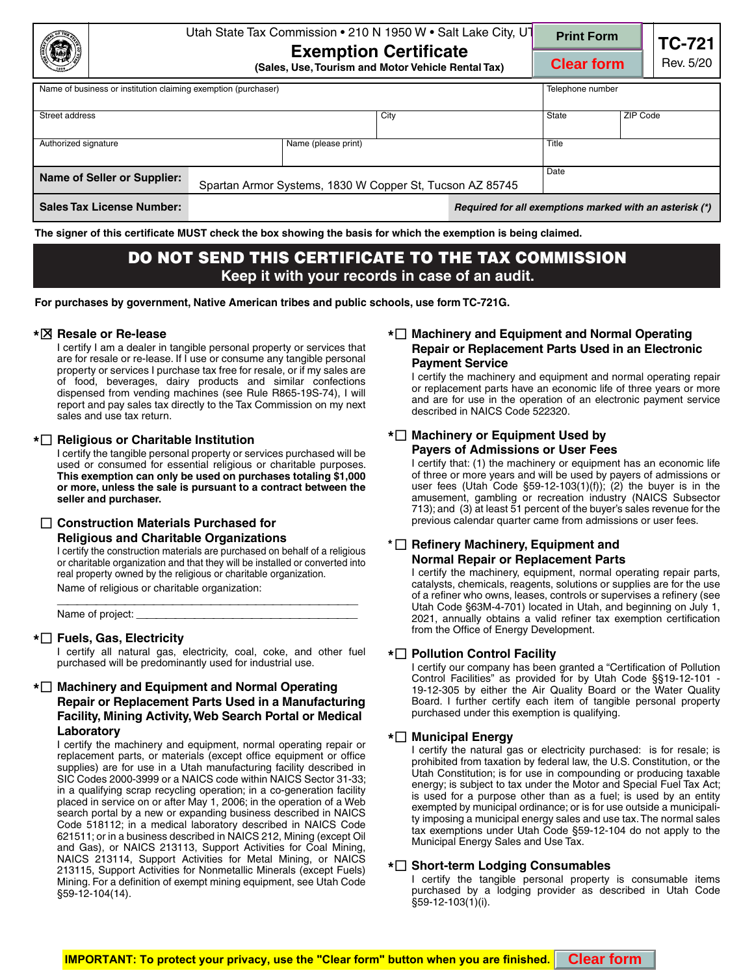|                                                                                                |                                                                                                                              |                                                                                                                                                                                                                                                                                                                                                                                                                                                                                                                                                                                                                                                                                                                                                                                                                                                                                                                                                                                                                                                                                                                                                                                  | Utah State Tax Commission . 210 N 1950 W . Salt Lake City, UT                                                                                                                                                                                                                                                                                                                                                                                                                                                                                                                                                                                                                                                                                                                                                                                                                                                                                                                                                                          | <b>Print Form</b>                                                                                                                                                                                                                                                                                                                                                                                                                                                                                                                                                                                                                                                                                                                                                                                                                                                                                                                                                                          |          | <b>TC-721</b> |  |
|------------------------------------------------------------------------------------------------|------------------------------------------------------------------------------------------------------------------------------|----------------------------------------------------------------------------------------------------------------------------------------------------------------------------------------------------------------------------------------------------------------------------------------------------------------------------------------------------------------------------------------------------------------------------------------------------------------------------------------------------------------------------------------------------------------------------------------------------------------------------------------------------------------------------------------------------------------------------------------------------------------------------------------------------------------------------------------------------------------------------------------------------------------------------------------------------------------------------------------------------------------------------------------------------------------------------------------------------------------------------------------------------------------------------------|----------------------------------------------------------------------------------------------------------------------------------------------------------------------------------------------------------------------------------------------------------------------------------------------------------------------------------------------------------------------------------------------------------------------------------------------------------------------------------------------------------------------------------------------------------------------------------------------------------------------------------------------------------------------------------------------------------------------------------------------------------------------------------------------------------------------------------------------------------------------------------------------------------------------------------------------------------------------------------------------------------------------------------------|--------------------------------------------------------------------------------------------------------------------------------------------------------------------------------------------------------------------------------------------------------------------------------------------------------------------------------------------------------------------------------------------------------------------------------------------------------------------------------------------------------------------------------------------------------------------------------------------------------------------------------------------------------------------------------------------------------------------------------------------------------------------------------------------------------------------------------------------------------------------------------------------------------------------------------------------------------------------------------------------|----------|---------------|--|
|                                                                                                |                                                                                                                              | <b>Exemption Certificate</b><br>(Sales, Use, Tourism and Motor Vehicle Rental Tax)                                                                                                                                                                                                                                                                                                                                                                                                                                                                                                                                                                                                                                                                                                                                                                                                                                                                                                                                                                                                                                                                                               |                                                                                                                                                                                                                                                                                                                                                                                                                                                                                                                                                                                                                                                                                                                                                                                                                                                                                                                                                                                                                                        | <b>Clear form</b>                                                                                                                                                                                                                                                                                                                                                                                                                                                                                                                                                                                                                                                                                                                                                                                                                                                                                                                                                                          |          | Rev. 5/20     |  |
|                                                                                                | Name of business or institution claiming exemption (purchaser)                                                               |                                                                                                                                                                                                                                                                                                                                                                                                                                                                                                                                                                                                                                                                                                                                                                                                                                                                                                                                                                                                                                                                                                                                                                                  |                                                                                                                                                                                                                                                                                                                                                                                                                                                                                                                                                                                                                                                                                                                                                                                                                                                                                                                                                                                                                                        | Telephone number                                                                                                                                                                                                                                                                                                                                                                                                                                                                                                                                                                                                                                                                                                                                                                                                                                                                                                                                                                           |          |               |  |
|                                                                                                | Street address                                                                                                               |                                                                                                                                                                                                                                                                                                                                                                                                                                                                                                                                                                                                                                                                                                                                                                                                                                                                                                                                                                                                                                                                                                                                                                                  | City                                                                                                                                                                                                                                                                                                                                                                                                                                                                                                                                                                                                                                                                                                                                                                                                                                                                                                                                                                                                                                   | State                                                                                                                                                                                                                                                                                                                                                                                                                                                                                                                                                                                                                                                                                                                                                                                                                                                                                                                                                                                      | ZIP Code |               |  |
|                                                                                                | Authorized signature                                                                                                         | Name (please print)                                                                                                                                                                                                                                                                                                                                                                                                                                                                                                                                                                                                                                                                                                                                                                                                                                                                                                                                                                                                                                                                                                                                                              |                                                                                                                                                                                                                                                                                                                                                                                                                                                                                                                                                                                                                                                                                                                                                                                                                                                                                                                                                                                                                                        | Title                                                                                                                                                                                                                                                                                                                                                                                                                                                                                                                                                                                                                                                                                                                                                                                                                                                                                                                                                                                      |          |               |  |
| <b>Name of Seller or Supplier:</b><br>Spartan Armor Systems, 1830 W Copper St, Tucson AZ 85745 |                                                                                                                              |                                                                                                                                                                                                                                                                                                                                                                                                                                                                                                                                                                                                                                                                                                                                                                                                                                                                                                                                                                                                                                                                                                                                                                                  |                                                                                                                                                                                                                                                                                                                                                                                                                                                                                                                                                                                                                                                                                                                                                                                                                                                                                                                                                                                                                                        | Date                                                                                                                                                                                                                                                                                                                                                                                                                                                                                                                                                                                                                                                                                                                                                                                                                                                                                                                                                                                       |          |               |  |
|                                                                                                | <b>Sales Tax License Number:</b>                                                                                             |                                                                                                                                                                                                                                                                                                                                                                                                                                                                                                                                                                                                                                                                                                                                                                                                                                                                                                                                                                                                                                                                                                                                                                                  | Required for all exemptions marked with an asterisk (*)                                                                                                                                                                                                                                                                                                                                                                                                                                                                                                                                                                                                                                                                                                                                                                                                                                                                                                                                                                                |                                                                                                                                                                                                                                                                                                                                                                                                                                                                                                                                                                                                                                                                                                                                                                                                                                                                                                                                                                                            |          |               |  |
|                                                                                                |                                                                                                                              | The signer of this certificate MUST check the box showing the basis for which the exemption is being claimed.                                                                                                                                                                                                                                                                                                                                                                                                                                                                                                                                                                                                                                                                                                                                                                                                                                                                                                                                                                                                                                                                    |                                                                                                                                                                                                                                                                                                                                                                                                                                                                                                                                                                                                                                                                                                                                                                                                                                                                                                                                                                                                                                        |                                                                                                                                                                                                                                                                                                                                                                                                                                                                                                                                                                                                                                                                                                                                                                                                                                                                                                                                                                                            |          |               |  |
|                                                                                                |                                                                                                                              | DO NOT SEND THIS CERTIFICATE TO THE TAX COMMISSION                                                                                                                                                                                                                                                                                                                                                                                                                                                                                                                                                                                                                                                                                                                                                                                                                                                                                                                                                                                                                                                                                                                               | Keep it with your records in case of an audit.                                                                                                                                                                                                                                                                                                                                                                                                                                                                                                                                                                                                                                                                                                                                                                                                                                                                                                                                                                                         |                                                                                                                                                                                                                                                                                                                                                                                                                                                                                                                                                                                                                                                                                                                                                                                                                                                                                                                                                                                            |          |               |  |
|                                                                                                |                                                                                                                              | For purchases by government, Native American tribes and public schools, use form TC-721G.                                                                                                                                                                                                                                                                                                                                                                                                                                                                                                                                                                                                                                                                                                                                                                                                                                                                                                                                                                                                                                                                                        |                                                                                                                                                                                                                                                                                                                                                                                                                                                                                                                                                                                                                                                                                                                                                                                                                                                                                                                                                                                                                                        |                                                                                                                                                                                                                                                                                                                                                                                                                                                                                                                                                                                                                                                                                                                                                                                                                                                                                                                                                                                            |          |               |  |
|                                                                                                | <b>*</b> ⊠ Resale or Re-lease<br>sales and use tax return.                                                                   | I certify I am a dealer in tangible personal property or services that<br>are for resale or re-lease. If I use or consume any tangible personal<br>property or services I purchase tax free for resale, or if my sales are<br>of food, beverages, dairy products and similar confections<br>dispensed from vending machines (see Rule R865-19S-74), I will<br>report and pay sales tax directly to the Tax Commission on my next                                                                                                                                                                                                                                                                                                                                                                                                                                                                                                                                                                                                                                                                                                                                                 | * <sup>1</sup> Machinery and Equipment and Normal Operating<br>Repair or Replacement Parts Used in an Electronic<br><b>Payment Service</b><br>I certify the machinery and equipment and normal operating repai<br>or replacement parts have an economic life of three years or more<br>and are for use in the operation of an electronic payment service<br>described in NAICS Code 522320.                                                                                                                                                                                                                                                                                                                                                                                                                                                                                                                                                                                                                                            |                                                                                                                                                                                                                                                                                                                                                                                                                                                                                                                                                                                                                                                                                                                                                                                                                                                                                                                                                                                            |          |               |  |
| $\perp$                                                                                        | * <sup>1</sup> Religious or Charitable Institution<br>seller and purchaser.<br><b>Construction Materials Purchased for</b>   | I certify the tangible personal property or services purchased will be<br>used or consumed for essential religious or charitable purposes.<br>This exemption can only be used on purchases totaling \$1,000<br>or more, unless the sale is pursuant to a contract between the                                                                                                                                                                                                                                                                                                                                                                                                                                                                                                                                                                                                                                                                                                                                                                                                                                                                                                    | * <sup>[11]</sup> Machinery or Equipment Used by<br><b>Payers of Admissions or User Fees</b><br>I certify that: (1) the machinery or equipment has an economic life<br>of three or more years and will be used by payers of admissions of<br>user fees (Utah Code $\S59-12-103(1)(f)$ ); (2) the buyer is in the<br>amusement, gambling or recreation industry (NAICS Subsector<br>713); and (3) at least 51 percent of the buyer's sales revenue for the<br>previous calendar quarter came from admissions or user fees.<br>$^{\star}$ $\Box$ Refinery Machinery, Equipment and<br><b>Normal Repair or Replacement Parts</b><br>I certify the machinery, equipment, normal operating repair parts<br>catalysts, chemicals, reagents, solutions or supplies are for the use<br>of a refiner who owns, leases, controls or supervises a refinery (see<br>Utah Code §63M-4-701) located in Utah, and beginning on July 1<br>2021, annually obtains a valid refiner tax exemption certification<br>from the Office of Energy Development. |                                                                                                                                                                                                                                                                                                                                                                                                                                                                                                                                                                                                                                                                                                                                                                                                                                                                                                                                                                                            |          |               |  |
|                                                                                                | <b>Religious and Charitable Organizations</b><br>Name of religious or charitable organization:<br>*□ Fuels, Gas, Electricity | I certify the construction materials are purchased on behalf of a religious<br>or charitable organization and that they will be installed or converted into<br>real property owned by the religious or charitable organization.                                                                                                                                                                                                                                                                                                                                                                                                                                                                                                                                                                                                                                                                                                                                                                                                                                                                                                                                                  |                                                                                                                                                                                                                                                                                                                                                                                                                                                                                                                                                                                                                                                                                                                                                                                                                                                                                                                                                                                                                                        |                                                                                                                                                                                                                                                                                                                                                                                                                                                                                                                                                                                                                                                                                                                                                                                                                                                                                                                                                                                            |          |               |  |
|                                                                                                | purchased will be predominantly used for industrial use.<br>Laboratory<br>§59-12-104(14).                                    | I certify all natural gas, electricity, coal, coke, and other fuel<br>* <sup>1</sup> Machinery and Equipment and Normal Operating<br>Repair or Replacement Parts Used in a Manufacturing<br>Facility, Mining Activity, Web Search Portal or Medical<br>I certify the machinery and equipment, normal operating repair or<br>replacement parts, or materials (except office equipment or office<br>supplies) are for use in a Utah manufacturing facility described in<br>SIC Codes 2000-3999 or a NAICS code within NAICS Sector 31-33;<br>in a qualifying scrap recycling operation; in a co-generation facility<br>placed in service on or after May 1, 2006; in the operation of a Web<br>search portal by a new or expanding business described in NAICS<br>Code 518112; in a medical laboratory described in NAICS Code<br>621511; or in a business described in NAICS 212, Mining (except Oil<br>and Gas), or NAICS 213113, Support Activities for Coal Mining,<br>NAICS 213114, Support Activities for Metal Mining, or NAICS<br>213115, Support Activities for Nonmetallic Minerals (except Fuels)<br>Mining. For a definition of exempt mining equipment, see Utah Code | * <sup>1</sup> Pollution Control Facility<br>purchased under this exemption is qualifying.<br><b>*</b> □ Municipal Energy<br>Municipal Energy Sales and Use Tax.<br>* <sup>[1</sup> ] Short-term Lodging Consumables<br>$$59-12-103(1)(i).$                                                                                                                                                                                                                                                                                                                                                                                                                                                                                                                                                                                                                                                                                                                                                                                            | I certify our company has been granted a "Certification of Pollution<br>Control Facilities" as provided for by Utah Code §§19-12-101 ·<br>19-12-305 by either the Air Quality Board or the Water Quality<br>Board. I further certify each item of tangible personal property<br>I certify the natural gas or electricity purchased: is for resale; is<br>prohibited from taxation by federal law, the U.S. Constitution, or the<br>Utah Constitution; is for use in compounding or producing taxable<br>energy; is subject to tax under the Motor and Special Fuel Tax Act<br>is used for a purpose other than as a fuel; is used by an entity<br>exempted by municipal ordinance; or is for use outside a municipali-<br>ty imposing a municipal energy sales and use tax. The normal sales<br>tax exemptions under Utah Code §59-12-104 do not apply to the<br>I certify the tangible personal property is consumable items<br>purchased by a lodging provider as described in Utah Code |          |               |  |
|                                                                                                |                                                                                                                              | <b>IMPORTANT: To protect your privacy, use the "Clear form" button when you are finished.</b>                                                                                                                                                                                                                                                                                                                                                                                                                                                                                                                                                                                                                                                                                                                                                                                                                                                                                                                                                                                                                                                                                    |                                                                                                                                                                                                                                                                                                                                                                                                                                                                                                                                                                                                                                                                                                                                                                                                                                                                                                                                                                                                                                        | <b>Clear form</b>                                                                                                                                                                                                                                                                                                                                                                                                                                                                                                                                                                                                                                                                                                                                                                                                                                                                                                                                                                          |          |               |  |

# **DO NOT SEND THIS CERTIFICATE TO THE TAX COMMISSION Keep it with your records in case of an audit.**

## **\* Resale or Re-lease**

## **\* Religious or Charitable Institution**

## **Construction Materials Purchased for**

## **Religious and Charitable Organizations**

## **\* Fuels, Gas, Electricity**

## **\* Machinery and Equipment and Normal Operating Repair or Replacement Parts Used in a Manufacturing Facility, Mining Activity, Web Search Portal or Medical Laboratory**

## **\* Machinery and Equipment and Normal Operating Repair or Replacement Parts Used in an Electronic Payment Service**

## **\* Machinery or Equipment Used by Payers of Admissions or User Fees**

## **\* Refinery Machinery, Equipment and Normal Repair or Replacement Parts**

## **\* Pollution Control Facility**

## **\* Municipal Energy**

## **\* Short-term Lodging Consumables**